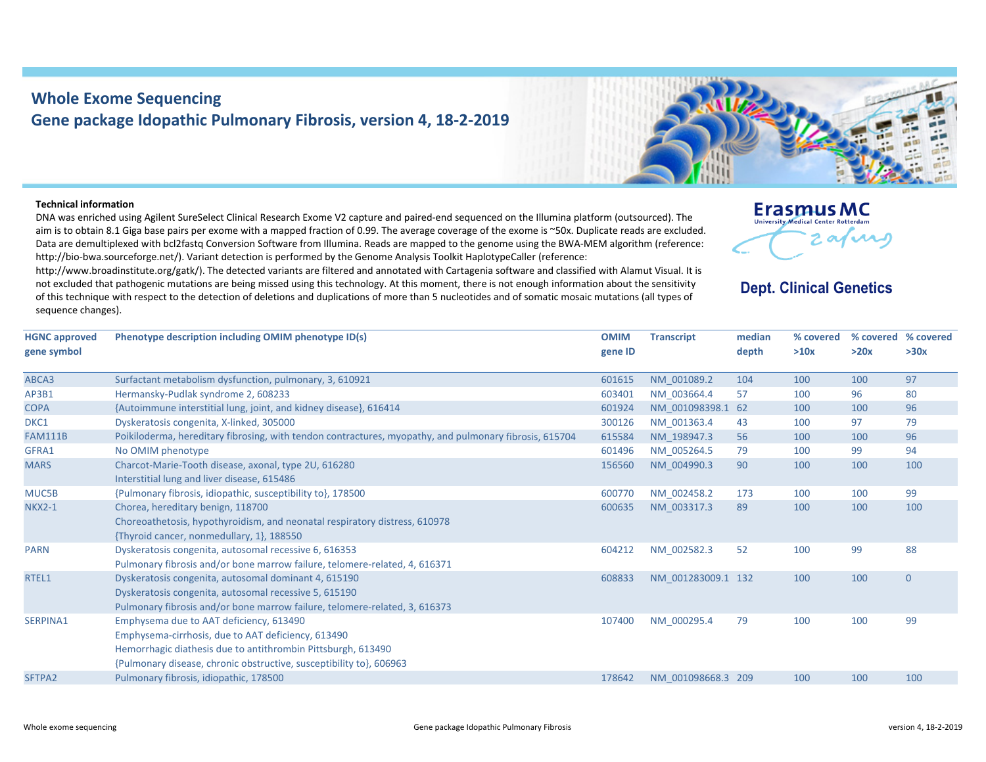## **Whole Exome Sequencing Gene package Idopathic Pulmonary Fibrosis, version 4, 18‐2‐2019**

## **Technical information**

DNA was enriched using Agilent SureSelect Clinical Research Exome V2 capture and paired‐end sequenced on the Illumina platform (outsourced). The aim is to obtain 8.1 Giga base pairs per exome with <sup>a</sup> mapped fraction of 0.99. The average coverage of the exome is ~50x. Duplicate reads are excluded. Data are demultiplexed with bcl2fastq Conversion Software from Illumina. Reads are mapped to the genome using the BWA‐MEM algorithm (reference: http://bio-bwa.sourceforge.net/). Variant detection is performed by the Genome Analysis Toolkit HaplotypeCaller (reference:

http://www.broadinstitute.org/gatk/). The detected variants are filtered and annotated with Cartagenia software and classified with Alamut Visual. It is not excluded that pathogenic mutations are being missed using this technology. At this moment, there is not enough information about the sensitivity of this technique with respect to the detection of deletions and duplications of more than 5 nucleotides and of somatic mosaic mutations (all types of sequence changes).

| <u>егазини зиме</u><br><b>University Medical Center Rotterdam</b> |
|-------------------------------------------------------------------|
| نتمم،                                                             |
|                                                                   |

Ernemije MC

## **Dept. Clinical Genetics**

| <b>HGNC approved</b><br>gene symbol | Phenotype description including OMIM phenotype ID(s)                                                                                                                                                                                 | <b>OMIM</b><br>gene ID | <b>Transcript</b>  | median<br>depth | % covered<br>>10x | % covered % covered<br>>20x | >30x           |
|-------------------------------------|--------------------------------------------------------------------------------------------------------------------------------------------------------------------------------------------------------------------------------------|------------------------|--------------------|-----------------|-------------------|-----------------------------|----------------|
| ABCA3                               | Surfactant metabolism dysfunction, pulmonary, 3, 610921                                                                                                                                                                              | 601615                 | NM 001089.2        | 104             | 100               | 100                         | 97             |
| AP3B1                               | Hermansky-Pudlak syndrome 2, 608233                                                                                                                                                                                                  | 603401                 | NM 003664.4        | 57              | 100               | 96                          | 80             |
| <b>COPA</b>                         | {Autoimmune interstitial lung, joint, and kidney disease}, 616414                                                                                                                                                                    | 601924                 | NM 001098398.1 62  |                 | 100               | 100                         | 96             |
| DKC1                                | Dyskeratosis congenita, X-linked, 305000                                                                                                                                                                                             | 300126                 | NM 001363.4        | 43              | 100               | 97                          | 79             |
| <b>FAM111B</b>                      | Poikiloderma, hereditary fibrosing, with tendon contractures, myopathy, and pulmonary fibrosis, 615704                                                                                                                               | 615584                 | NM 198947.3        | 56              | 100               | 100                         | 96             |
| GFRA1                               | No OMIM phenotype                                                                                                                                                                                                                    | 601496                 | NM 005264.5        | 79              | 100               | 99                          | 94             |
| <b>MARS</b>                         | Charcot-Marie-Tooth disease, axonal, type 2U, 616280<br>Interstitial lung and liver disease, 615486                                                                                                                                  | 156560                 | NM 004990.3        | 90              | 100               | 100                         | 100            |
| MUC5B                               | {Pulmonary fibrosis, idiopathic, susceptibility to}, 178500                                                                                                                                                                          | 600770                 | NM 002458.2        | 173             | 100               | 100                         | 99             |
| <b>NKX2-1</b>                       | Chorea, hereditary benign, 118700<br>Choreoathetosis, hypothyroidism, and neonatal respiratory distress, 610978<br>{Thyroid cancer, nonmedullary, 1}, 188550                                                                         | 600635                 | NM 003317.3        | 89              | 100               | 100                         | 100            |
| <b>PARN</b>                         | Dyskeratosis congenita, autosomal recessive 6, 616353<br>Pulmonary fibrosis and/or bone marrow failure, telomere-related, 4, 616371                                                                                                  | 604212                 | NM 002582.3        | 52              | 100               | 99                          | 88             |
| RTEL1                               | Dyskeratosis congenita, autosomal dominant 4, 615190<br>Dyskeratosis congenita, autosomal recessive 5, 615190<br>Pulmonary fibrosis and/or bone marrow failure, telomere-related, 3, 616373                                          | 608833                 | NM 001283009.1 132 |                 | 100               | 100                         | $\overline{0}$ |
| <b>SERPINA1</b>                     | Emphysema due to AAT deficiency, 613490<br>Emphysema-cirrhosis, due to AAT deficiency, 613490<br>Hemorrhagic diathesis due to antithrombin Pittsburgh, 613490<br>{Pulmonary disease, chronic obstructive, susceptibility to}, 606963 | 107400                 | NM 000295.4        | 79              | 100               | 100                         | 99             |
| SFTPA2                              | Pulmonary fibrosis, idiopathic, 178500                                                                                                                                                                                               | 178642                 | NM 001098668.3 209 |                 | 100               | 100                         | 100            |